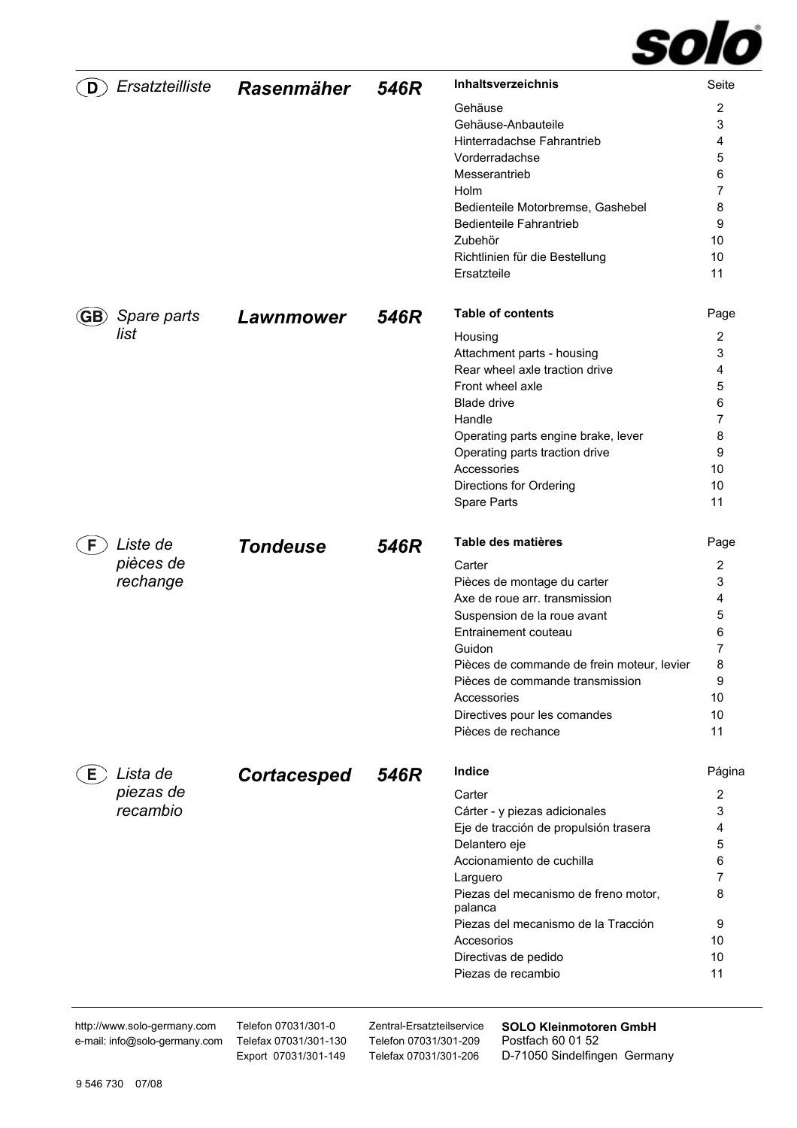

| D         | Ersatzteilliste       | <b>Rasenmäher</b>  | 546R | Inhaltsverzeichnis                              | Seite          |
|-----------|-----------------------|--------------------|------|-------------------------------------------------|----------------|
|           |                       |                    |      | Gehäuse                                         | 2              |
|           |                       |                    |      | Gehäuse-Anbauteile                              | 3              |
|           |                       |                    |      | Hinterradachse Fahrantrieb                      | 4              |
|           |                       |                    |      | Vorderradachse                                  | 5              |
|           |                       |                    |      | Messerantrieb                                   | 6              |
|           |                       |                    |      | Holm                                            | $\overline{7}$ |
|           |                       |                    |      | Bedienteile Motorbremse, Gashebel               | 8              |
|           |                       |                    |      | <b>Bedienteile Fahrantrieb</b>                  | 9              |
|           |                       |                    |      | Zubehör                                         | 10             |
|           |                       |                    |      |                                                 |                |
|           |                       |                    |      | Richtlinien für die Bestellung                  | 10             |
|           |                       |                    |      | Ersatzteile                                     | 11             |
| <b>GB</b> | Spare parts           | <b>Lawnmower</b>   | 546R | <b>Table of contents</b>                        | Page           |
|           | list                  |                    |      | Housing                                         | $\overline{2}$ |
|           |                       |                    |      | Attachment parts - housing                      | 3              |
|           |                       |                    |      | Rear wheel axle traction drive                  | 4              |
|           |                       |                    |      | Front wheel axle                                | 5              |
|           |                       |                    |      | Blade drive                                     | 6              |
|           |                       |                    |      | Handle                                          | 7              |
|           |                       |                    |      |                                                 | 8              |
|           |                       |                    |      | Operating parts engine brake, lever             |                |
|           |                       |                    |      | Operating parts traction drive                  | 9              |
|           |                       |                    |      | Accessories                                     | 10             |
|           |                       |                    |      | Directions for Ordering                         | 10             |
|           |                       |                    |      | Spare Parts                                     | 11             |
| F         | Liste de              | <b>Tondeuse</b>    | 546R | Table des matières                              | Page           |
|           | pièces de             |                    |      | Carter                                          | $\overline{2}$ |
|           | rechange              |                    |      | Pièces de montage du carter                     | 3              |
|           |                       |                    |      | Axe de roue arr. transmission                   | 4              |
|           |                       |                    |      | Suspension de la roue avant                     | 5              |
|           |                       |                    |      | Entrainement couteau                            | 6              |
|           |                       |                    |      | Guidon                                          | 7              |
|           |                       |                    |      | Pièces de commande de frein moteur, levier      | 8              |
|           |                       |                    |      | Pièces de commande transmission                 | 9              |
|           |                       |                    |      | Accessories                                     | 10             |
|           |                       |                    |      | Directives pour les comandes                    | 10             |
|           |                       |                    |      | Pièces de rechance                              | 11             |
|           |                       |                    |      | Indice                                          |                |
| Е.        | Lista de<br>piezas de | <b>Cortacesped</b> | 546R | Carter                                          | Página<br>2    |
|           | recambio              |                    |      |                                                 | 3              |
|           |                       |                    |      | Cárter - y piezas adicionales                   |                |
|           |                       |                    |      | Eje de tracción de propulsión trasera           | 4              |
|           |                       |                    |      | Delantero eje                                   | 5              |
|           |                       |                    |      | Accionamiento de cuchilla                       | 6              |
|           |                       |                    |      | Larguero                                        | 7              |
|           |                       |                    |      | Piezas del mecanismo de freno motor,<br>palanca | 8              |
|           |                       |                    |      | Piezas del mecanismo de la Tracción             | 9              |
|           |                       |                    |      | Accesorios                                      | 10             |
|           |                       |                    |      | Directivas de pedido                            | 10             |
|           |                       |                    |      | Piezas de recambio                              | 11             |
|           |                       |                    |      |                                                 |                |

http://www.solo-germany.com e-mail: info@solo-germany.com Telefon 07031/301-0 Telefax 07031/301-130 Export 07031/301-149

Zentral-Ersatzteilservice Telefon 07031/301-209 Telefax 07031/301-206

**SOLO Kleinmotoren GmbH**  Postfach 60 01 52 D-71050 Sindelfingen Germany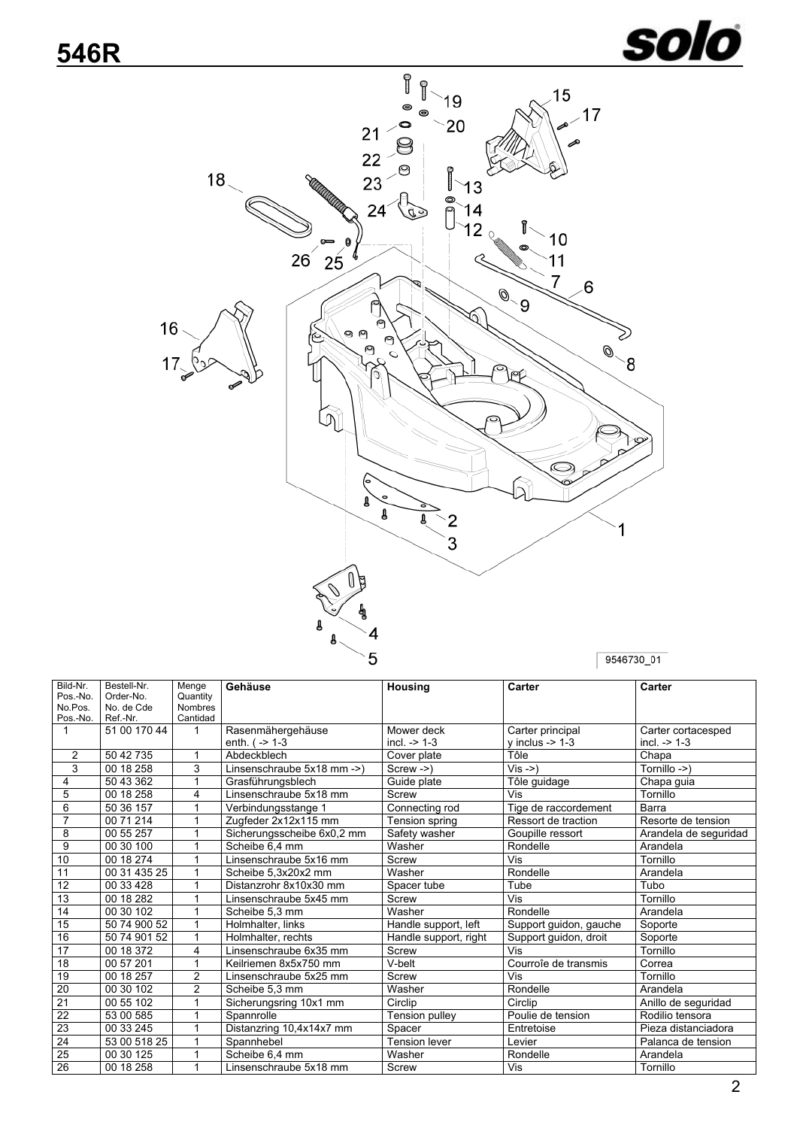

<span id="page-1-0"></span>

| Bild-Nr.        | Bestell-Nr.  | Menge          | Gehäuse                                | Housing               | Carter                      | Carter                |  |
|-----------------|--------------|----------------|----------------------------------------|-----------------------|-----------------------------|-----------------------|--|
| Pos.-No.        | Order-No.    | Quantity       |                                        |                       |                             |                       |  |
| No.Pos.         | No. de Cde   | <b>Nombres</b> |                                        |                       |                             |                       |  |
| Pos.-No.        | Ref.-Nr.     | Cantidad       |                                        |                       |                             |                       |  |
| $\mathbf{1}$    | 51 00 170 44 | $\mathbf{1}$   | Rasenmähergehäuse                      | Mower deck            | Carter principal            | Carter cortacesped    |  |
|                 |              |                | enth. $(-> 1-3)$                       | $incl. -> 1-3$        | $v$ inclus -> 1-3           | incl. $-$ 1-3         |  |
| $\overline{2}$  | 50 42 735    |                | Abdeckblech                            | Cover plate           | Tôle                        | Chapa                 |  |
| $\overline{3}$  | 00 18 258    | 3              | Linsenschraube 5x18 mm ->)             | $Screw ->$            | $\overline{\text{Vis}}$ ->) | Tornillo ->)          |  |
| 4               | 50 43 362    | 1              | Grasführungsblech                      | Guide plate           | Tôle quidage                | Chapa guia            |  |
| 5               | 00 18 258    | 4              | Linsenschraube 5x18 mm                 | Screw                 | Vis                         | Tornillo              |  |
| 6               | 50 36 157    | 1              | Verbindungsstange 1                    | Connecting rod        | Tige de raccordement        | Barra                 |  |
| $\overline{7}$  | 00 71 214    | 1              | Zugfeder 2x12x115 mm                   | Tension spring        | Ressort de traction         | Resorte de tension    |  |
| 8               | 00 55 257    | 1              | Sicherungsscheibe 6x0,2 mm             | Safety washer         | Goupille ressort            | Arandela de seguridad |  |
| 9               | 00 30 100    | 1              | Scheibe 6,4 mm                         | Washer                | Rondelle                    | Arandela              |  |
| 10              | 00 18 274    | 1              | Vis<br>Linsenschraube 5x16 mm<br>Screw |                       |                             | Tornillo              |  |
| 11              | 00 31 435 25 | 1              | Scheibe 5,3x20x2 mm                    | Washer                | Rondelle                    | Arandela              |  |
| 12              | 00 33 428    |                | Distanzrohr 8x10x30 mm                 | Spacer tube           | Tube                        | Tubo                  |  |
| $\overline{13}$ | 00 18 282    | 1              | Linsenschraube 5x45 mm                 | Screw                 | $\overline{\mathsf{Vis}}$   | Tornillo              |  |
| 14              | 00 30 102    |                | Scheibe 5.3 mm                         | Washer                | Rondelle                    | Arandela              |  |
| 15              | 50 74 900 52 | 1              | Holmhalter, links                      | Handle support, left  | Support guidon, gauche      | Soporte               |  |
| 16              | 50 74 901 52 | 1              | Holmhalter, rechts                     | Handle support, right | Support guidon, droit       | Soporte               |  |
| $\overline{17}$ | 00 18 372    | 4              | Linsenschraube 6x35 mm                 | Screw                 | Vis                         | Tornillo              |  |
| 18              | 00 57 201    | 1              | Keilriemen 8x5x750 mm                  | V-belt                | Courroîe de transmis        | Correa                |  |
| 19              | 00 18 257    | $\overline{2}$ | Linsenschraube 5x25 mm                 | Screw                 | Vis                         | Tornillo              |  |
| 20              | 00 30 102    | $\overline{2}$ | Scheibe 5.3 mm                         | Washer                | Rondelle                    | Arandela              |  |
| $\overline{21}$ | 00 55 102    |                | Sicherungsring 10x1 mm                 | Circlip               | Circlip                     | Anillo de seguridad   |  |
| 22              | 53 00 585    | 1              | Spannrolle                             | Tension pulley        | Poulie de tension           | Rodilio tensora       |  |
| 23              | 00 33 245    | $\mathbf{1}$   | Distanzring 10,4x14x7 mm               | Spacer                | Entretoise                  | Pieza distanciadora   |  |
| 24              | 53 00 518 25 | 1              | Spannhebel                             | <b>Tension lever</b>  | Levier                      | Palanca de tension    |  |
| $\overline{25}$ | 00 30 125    | 1              | Scheibe 6.4 mm                         | Washer                | Rondelle                    | Arandela              |  |
| 26              | 00 18 258    | 1              | Linsenschraube 5x18 mm                 | Screw                 | Vis                         | Tornillo              |  |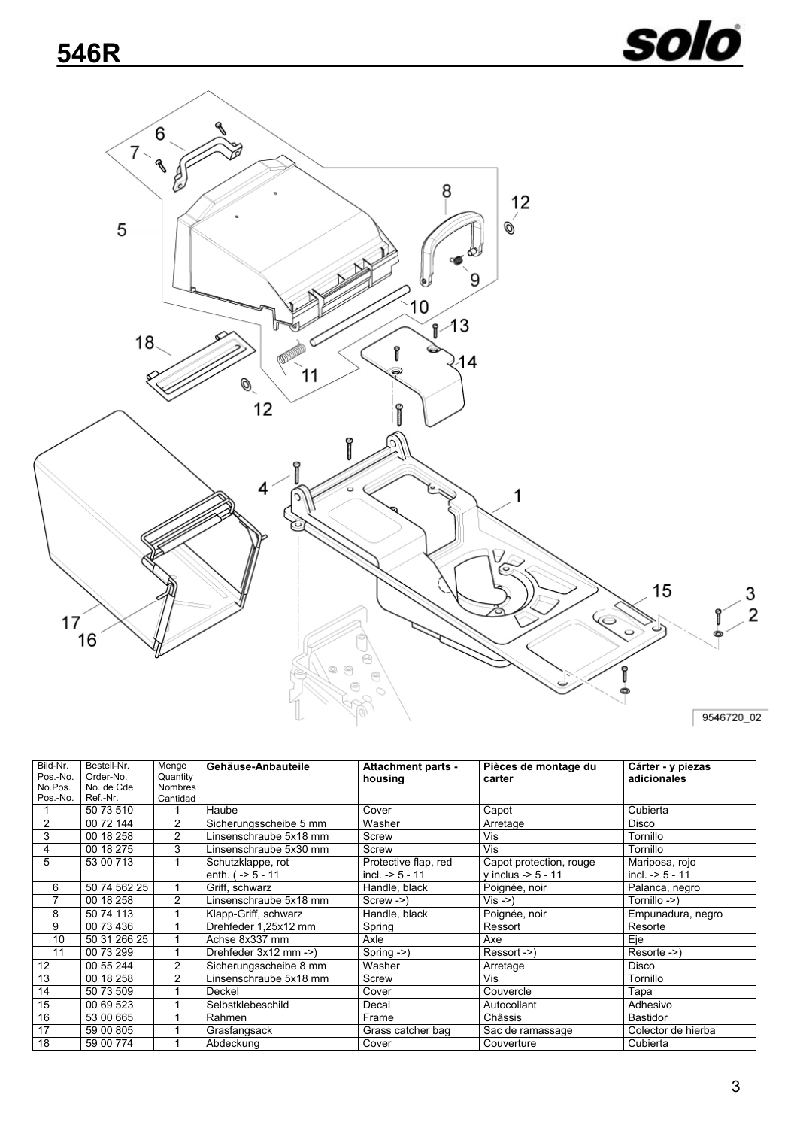![](_page_2_Picture_1.jpeg)

<span id="page-2-1"></span><span id="page-2-0"></span>![](_page_2_Figure_2.jpeg)

| Bild-Nr.       | Bestell-Nr.  | Menge          | Gehäuse-Anbauteile     | <b>Attachment parts -</b> | Pièces de montage du    | Cárter - y piezas  |
|----------------|--------------|----------------|------------------------|---------------------------|-------------------------|--------------------|
| Pos.-No.       | Order-No.    | Quantity       |                        | housing                   | carter                  | adicionales        |
| No.Pos.        | No. de Cde   | <b>Nombres</b> |                        |                           |                         |                    |
| Pos.-No.       | Ref.-Nr.     | Cantidad       |                        |                           |                         |                    |
|                | 50 73 510    |                | Haube                  | Cover                     | Capot                   | Cubierta           |
| $\overline{2}$ | 00 72 144    | 2              | Sicherungsscheibe 5 mm | Washer                    | Arretage                | Disco              |
| 3              | 00 18 258    | 2              | Linsenschraube 5x18 mm | Screw                     | Vis                     | Tornillo           |
| 4              | 00 18 275    | 3              | Linsenschraube 5x30 mm | Screw                     | Vis                     | Tornillo           |
| 5              | 53 00 713    |                | Schutzklappe, rot      | Protective flap, red      | Capot protection, rouge | Mariposa, rojo     |
|                |              |                | enth. $( -5 - 11)$     | incl. $-5 - 11$           | v inclus -> 5 - 11      | incl. $-5 - 11$    |
| 6              | 50 74 562 25 |                | Griff, schwarz         | Handle, black             | Poignée, noir           | Palanca, negro     |
|                | 00 18 258    | 2              | Linsenschraube 5x18 mm | $Screw ->$                | Vis ->)                 | Tornillo ->)       |
| 8              | 50 74 113    |                | Klapp-Griff, schwarz   | Handle, black             | Poignée, noir           | Empunadura, negro  |
| 9              | 00 73 436    |                | Drehfeder 1.25x12 mm   | Spring                    | Ressort                 | Resorte            |
| 10             | 50 31 266 25 |                | Achse 8x337 mm         | Axle                      | Axe                     | Eje                |
| 11             | 00 73 299    |                | Drehfeder 3x12 mm ->)  | Spring $\rightarrow$ )    | Ressort ->)             | Resorte ->)        |
| 12             | 00 55 244    | 2              | Sicherungsscheibe 8 mm | Washer                    | Arretage                | Disco              |
| 13             | 00 18 258    | 2              | Linsenschraube 5x18 mm | Screw                     | Vis                     | Tornillo           |
| 14             | 50 73 509    |                | Deckel                 | Cover                     | Couvercle               | Tapa               |
| 15             | 00 69 523    |                | Selbstklebeschild      | Decal                     | Autocollant             | Adhesivo           |
| 16             | 53 00 665    |                | Rahmen                 | Frame                     | Châssis                 | Bastidor           |
| 17             | 59 00 805    |                | Grasfangsack           | Grass catcher bag         | Sac de ramassage        | Colector de hierba |
| 18             | 59 00 774    |                | Abdeckung              | Cover                     | Couverture              | Cubierta           |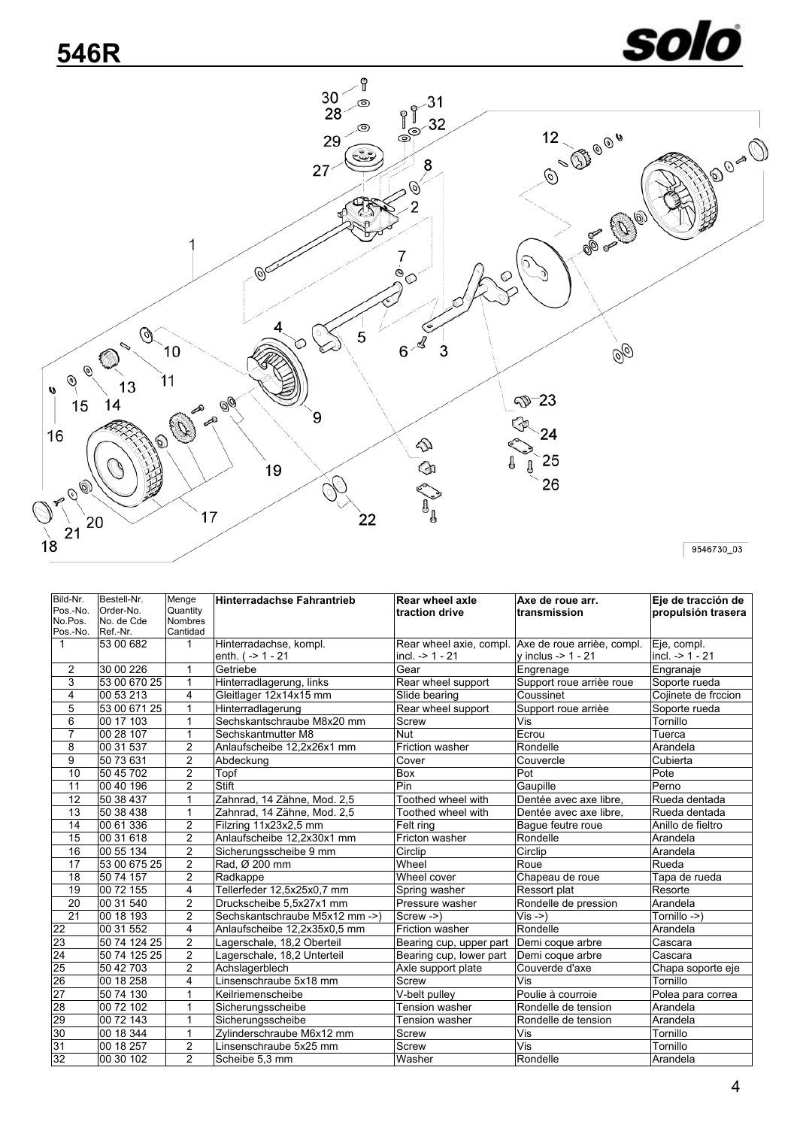![](_page_3_Picture_1.jpeg)

<span id="page-3-0"></span>![](_page_3_Figure_2.jpeg)

| Bild-Nr.            | Bestell-Nr.            | Menge                      | Hinterradachse Fahrantrieb     | Rear wheel axle         | Axe de roue arr.                                   | Eje de tracción de  |
|---------------------|------------------------|----------------------------|--------------------------------|-------------------------|----------------------------------------------------|---------------------|
| Pos.-No.            | Order-No.              | Quantity                   |                                | traction drive          | transmission                                       | propulsión trasera  |
| No.Pos.<br>Pos.-No. | No. de Cde<br>Ref.-Nr. | <b>Nombres</b><br>Cantidad |                                |                         |                                                    |                     |
| $\mathbf{1}$        | 53 00 682              | 1                          | Hinterradachse, kompl.         |                         | Rear wheel axie, compl. Axe de roue arrièe, compl. | Eje, compl.         |
|                     |                        |                            | enth. $( -21 - 21)$            | incl. $-21 - 21$        | $v$ inclus -> 1 - 21                               | incl. $-21 - 21$    |
| $\overline{2}$      | 30 00 226              | 1                          | Getriebe                       | Gear                    |                                                    | Engranaje           |
| 3                   | 53 00 670 25           | 1                          |                                |                         | Engrenage                                          |                     |
|                     |                        |                            | Hinterradlagerung, links       | Rear wheel support      | Support roue arrièe roue                           | Soporte rueda       |
| 4                   | 00 53 213              | 4                          | Gleitlager 12x14x15 mm         | Slide bearing           | Coussinet                                          | Cojinete de frccion |
| 5                   | 53 00 671 25           | 1                          | Hinterradlagerung              | Rear wheel support      | Support roue arrièe                                | Soporte rueda       |
| 6                   | 00 17 103              | 1                          | Sechskantschraube M8x20 mm     | Screw                   | Vis                                                | Tornillo            |
| $\overline{7}$      | 00 28 107              | 1                          | Sechskantmutter M8             | <b>Nut</b>              | Ecrou                                              | Tuerca              |
| 8                   | 00 31 537              | $\overline{c}$             | Anlaufscheibe 12,2x26x1 mm     | <b>Friction washer</b>  | Rondelle                                           | Arandela            |
| 9                   | 50 73 631              | $\overline{2}$             | Abdeckung                      | Cover                   | Couvercle                                          | Cubierta            |
| 10                  | 50 45 702              | $\overline{2}$             | Topf                           | <b>Box</b>              | Pot                                                | Pote                |
| 11                  | 00 40 196              | $\overline{2}$             | <b>Stift</b>                   | Pin                     | Gaupille                                           | Perno               |
| $\overline{12}$     | 50 38 437              | $\mathbf{1}$               | Zahnrad, 14 Zähne, Mod. 2,5    | Toothed wheel with      | Dentée avec axe libre.                             | Rueda dentada       |
| 13                  | 50 38 438              | $\mathbf{1}$               | Zahnrad, 14 Zähne, Mod. 2,5    | Toothed wheel with      | Dentée avec axe libre.                             | Rueda dentada       |
| 14                  | 00 61 336              | $\overline{c}$             | Filzring 11x23x2,5 mm          | Felt ring               | Baque feutre roue                                  | Anillo de fieltro   |
| 15                  | 00 31 618              | $\overline{2}$             | Anlaufscheibe 12.2x30x1 mm     | Fricton washer          | Rondelle                                           | Arandela            |
| 16                  | 00 55 134              | $\overline{2}$             | Sicherungsscheibe 9 mm         | Circlip                 | Circlip                                            | Arandela            |
| 17                  | 53 00 675 25           | $\overline{2}$             | Rad, Ø 200 mm                  | Wheel                   | Roue                                               | Rueda               |
| $\overline{18}$     | 50 74 157              | $\overline{2}$             | Radkappe                       | Wheel cover             | Chapeau de roue                                    | Tapa de rueda       |
| 19                  | 00 72 155              | 4                          | Tellerfeder 12,5x25x0,7 mm     | Spring washer           | Ressort plat                                       | Resorte             |
| $\overline{20}$     | 00 31 540              | $\overline{2}$             | Druckscheibe 5,5x27x1 mm       | Pressure washer         | Rondelle de pression                               | Arandela            |
| 21                  | 00 18 193              | $\overline{c}$             | Sechskantschraube M5x12 mm ->) | Screw ->)               | $Vis -> )$                                         | Tornillo ->)        |
| 22                  | 00 31 552              | 4                          | Anlaufscheibe 12,2x35x0,5 mm   | Friction washer         | Rondelle                                           | Arandela            |
| 23                  | 50 74 124 25           | $\overline{2}$             | Lagerschale, 18,2 Oberteil     | Bearing cup, upper part | Demi coque arbre                                   | Cascara             |
| 24                  | 50 74 125 25           | $\overline{2}$             | Lagerschale, 18,2 Unterteil    | Bearing cup, lower part | Demi coque arbre                                   | Cascara             |
| 25                  | 50 42 703              | $\overline{2}$             | Achslagerblech                 | Axle support plate      | Couverde d'axe                                     | Chapa soporte eje   |
| 26                  | 00 18 258              | 4                          | Linsenschraube 5x18 mm         | Screw                   | Vis                                                | Tornillo            |
| $\overline{27}$     | 50 74 130              | 1                          | Keilriemenscheibe              | V-belt pulley           | Poulie à courroie                                  | Polea para correa   |
| 28                  | 00 72 102              | 1                          | Sicherungsscheibe              | Tension washer          | Rondelle de tension                                | Arandela            |
| 29                  | 00 72 143              | $\mathbf{1}$               | Sicherungsscheibe              | Tension washer          | Rondelle de tension                                | Arandela            |
| 30                  | 00 18 344              | $\mathbf{1}$               | Zylinderschraube M6x12 mm      | Screw                   | Vis                                                | Tornillo            |
| 31                  | 00 18 257              | $\overline{2}$             | Linsenschraube 5x25 mm         | Screw                   | Vis                                                | Tornillo            |
| 32                  | 00 30 102              | $\overline{2}$             | Scheibe 5.3 mm                 | Washer                  | Rondelle                                           | Arandela            |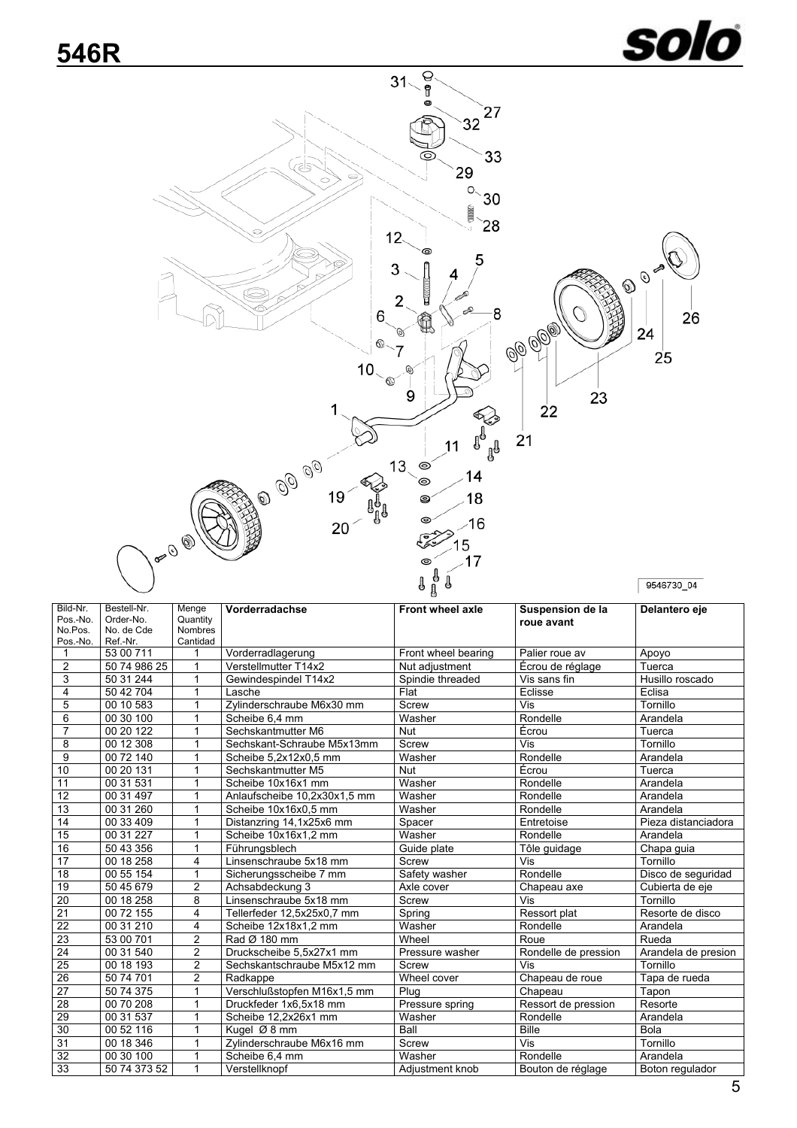![](_page_4_Picture_1.jpeg)

<span id="page-4-0"></span>![](_page_4_Figure_2.jpeg)

| Bild-Nr.            | Bestell-Nr.             | Menge                      | Vorderradachse               | <b>Front wheel axle</b> | Suspension de la     | Delantero eje       |  |
|---------------------|-------------------------|----------------------------|------------------------------|-------------------------|----------------------|---------------------|--|
| Pos.-No.<br>No.Pos. | Order-No.<br>No. de Cde | Quantity<br><b>Nombres</b> |                              |                         | roue avant           |                     |  |
| Pos.-No.            | Ref.-Nr.                | Cantidad                   |                              |                         |                      |                     |  |
| $\mathbf{1}$        | 53 00 711               |                            | Vorderradlagerung            | Front wheel bearing     | Palier roue av       | Apoyo               |  |
| $\overline{2}$      | 50 74 986 25            | 1                          | Verstellmutter T14x2         | Nut adjustment          | Écrou de réglage     | Tuerca              |  |
| 3                   | 50 31 244               | 1                          | Gewindespindel T14x2         | Spindie threaded        | Vis sans fin         | Husillo roscado     |  |
| 4                   | 50 42 704               | 1                          | Lasche                       | Flat                    | Eclisse              | Eclisa              |  |
| 5                   | 00 10 583               | 1                          | Zylinderschraube M6x30 mm    | Screw                   | Vis                  | Tornillo            |  |
| 6                   | 00 30 100               | 1                          | Scheibe 6.4 mm               | Washer                  | Rondelle             | Arandela            |  |
| $\overline{7}$      | 00 20 122               | 1                          | Sechskantmutter M6           | <b>Nut</b>              | Écrou                | Tuerca              |  |
| 8                   | 00 12 308               | 1                          | Sechskant-Schraube M5x13mm   | Screw                   | Vis                  | Tornillo            |  |
| 9                   | 00 72 140               | 1                          | Scheibe 5,2x12x0,5 mm        | Washer                  | Rondelle             | Arandela            |  |
| 10                  | 00 20 131               | 1                          | Sechskantmutter M5           | <b>Nut</b>              | Écrou                | Tuerca              |  |
| 11                  | 00 31 531               | 1                          | Scheibe 10x16x1 mm           | Washer                  | Rondelle             | Arandela            |  |
| $\overline{12}$     | 00 31 497               | 1                          | Anlaufscheibe 10,2x30x1,5 mm | Washer                  | Rondelle             | Arandela            |  |
| 13                  | 00 31 260               | $\mathbf 1$                | Scheibe 10x16x0,5 mm         | Washer                  | Rondelle             | Arandela            |  |
| 14                  | 00 33 409               | 1                          | Distanzring 14,1x25x6 mm     | Spacer                  | Entretoise           | Pieza distanciadora |  |
| 15                  | 00 31 227               | 1                          | Scheibe 10x16x1,2 mm         | Washer                  | Rondelle             | Arandela            |  |
| 16                  | 50 43 356               | $\mathbf{1}$               | Führungsblech                | Guide plate             | Tôle guidage         | Chapa guia          |  |
| 17                  | $\overline{00}$ 18 258  | 4                          | Linsenschraube 5x18 mm       | Screw                   | Vis                  | Tornillo            |  |
| 18                  | 00 55 154               | 1                          | Sicherungsscheibe 7 mm       | Safety washer           | Rondelle             | Disco de seguridad  |  |
| 19                  | 50 45 679               | $\overline{2}$             | Achsabdeckung 3              | Axle cover              | Chapeau axe          | Cubierta de eje     |  |
| 20                  | 00 18 258               | 8                          | Linsenschraube 5x18 mm       | Screw                   | Vis                  | Tornillo            |  |
| 21                  | 00 72 155               | 4                          | Tellerfeder 12,5x25x0,7 mm   | Spring                  | Ressort plat         | Resorte de disco    |  |
| 22                  | 00 31 210               | 4                          | Scheibe 12x18x1.2 mm         | Washer                  | Rondelle             | Arandela            |  |
| 23                  | 53 00 701               | $\overline{2}$             | Rad Ø 180 mm                 | Wheel                   | Roue                 | Rueda               |  |
| 24                  | 00 31 540               | $\overline{2}$             | Druckscheibe 5,5x27x1 mm     | Pressure washer         | Rondelle de pression | Arandela de presion |  |
| $\overline{25}$     | 00 18 193               | $\overline{2}$             | Sechskantschraube M5x12 mm   | Screw                   | Vis                  | Tornillo            |  |
| $\overline{26}$     | 50 74 701               | $\overline{2}$             | Radkappe                     | Wheel cover             | Chapeau de roue      | Tapa de rueda       |  |
| 27                  | 50 74 375               | 1                          | Verschlußstopfen M16x1,5 mm  | Plug                    | Chapeau              | Tapon               |  |
| 28                  | 00 70 208               | 1                          | Druckfeder 1x6,5x18 mm       | Pressure spring         | Ressort de pression  | Resorte             |  |
| 29                  | 00 31 537               | 1                          | Scheibe 12,2x26x1 mm         | Washer                  | Rondelle             | Arandela            |  |
| 30                  | 00 52 116               | 1                          | Kugel Ø 8 mm                 | Ball                    | <b>Bille</b>         | Bola                |  |
| 31                  | 00 18 346               | $\mathbf 1$                | Zylinderschraube M6x16 mm    | Screw                   | Vis                  | Tornillo            |  |
| $\overline{32}$     | 00 30 100               | 1                          | Scheibe 6,4 mm               | Washer                  | Rondelle             | Arandela            |  |
| 33                  | 50 74 373 52            | $\mathbf{1}$               | Verstellknopf                | Adiustment knob         | Bouton de réglage    | Boton regulador     |  |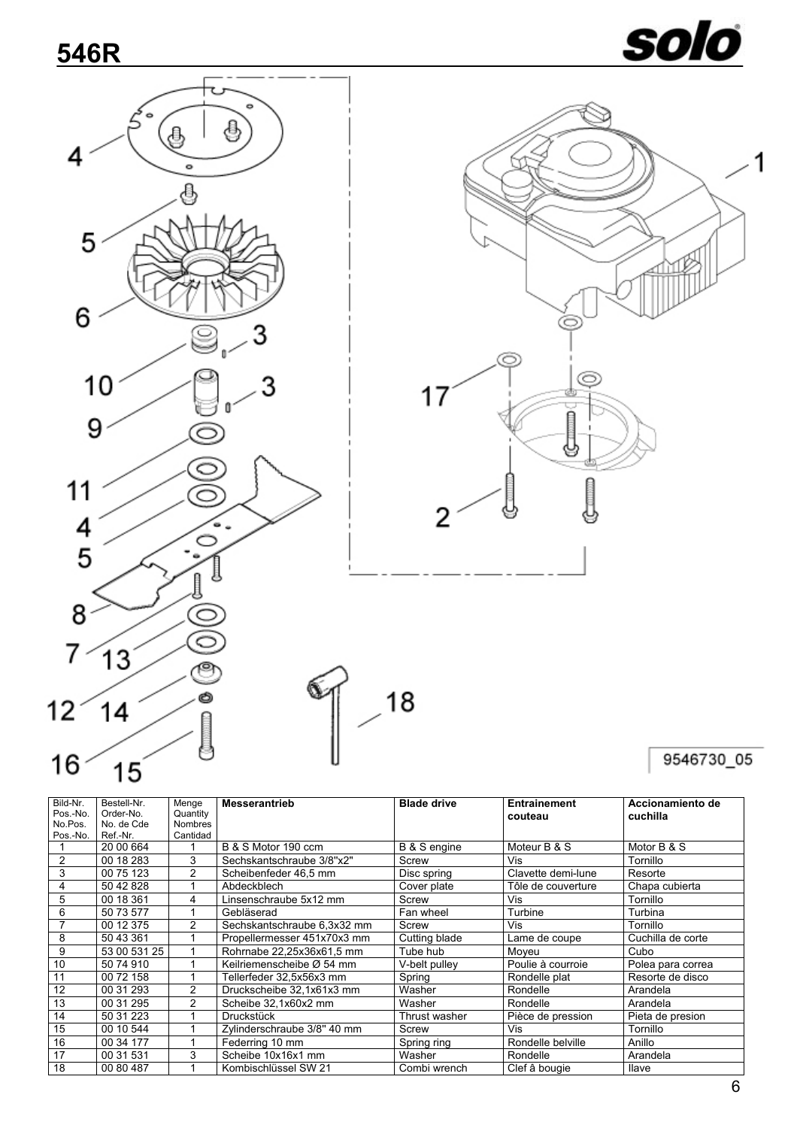![](_page_5_Picture_1.jpeg)

1

<span id="page-5-0"></span>![](_page_5_Figure_2.jpeg)

| Bild-Nr.            | Bestell-Nr.             | Menge                      | <b>Messerantrieb</b>        | <b>Blade drive</b> | <b>Entrainement</b> | Accionamiento de  |
|---------------------|-------------------------|----------------------------|-----------------------------|--------------------|---------------------|-------------------|
| Pos.-No.<br>No.Pos. | Order-No.<br>No. de Cde | Quantity<br><b>Nombres</b> |                             |                    | couteau             | cuchilla          |
|                     | Ref.-Nr.                | Cantidad                   |                             |                    |                     |                   |
| Pos.-No.            |                         |                            |                             |                    |                     |                   |
|                     | 20 00 664               |                            | B & S Motor 190 ccm         | B & S engine       | Moteur B & S        | Motor B & S       |
| 2                   | 00 18 283               | 3                          | Sechskantschraube 3/8"x2"   | Screw              | Vis                 | Tornillo          |
| 3                   | 00 75 123               | $\overline{2}$             | Scheibenfeder 46.5 mm       | Disc spring        | Clavette demi-lune  | Resorte           |
| 4                   | 50 42 828               |                            | Abdeckblech                 | Cover plate        | Tôle de couverture  | Chapa cubierta    |
| 5                   | 00 18 361               | 4                          | Linsenschraube 5x12 mm      | Screw              | Vis                 | Tornillo          |
| 6                   | 50 73 577               |                            | Gebläserad                  | Fan wheel          | Turbine             | Turbina           |
|                     | 00 12 375               | 2                          | Sechskantschraube 6,3x32 mm | Screw              | Vis                 | Tornillo          |
| 8                   | 50 43 361               |                            | Propellermesser 451x70x3 mm | Cutting blade      | Lame de coupe       | Cuchilla de corte |
| 9                   | 53 00 531 25            |                            | Rohrnabe 22,25x36x61,5 mm   | Tube hub           | Moveu               | Cubo              |
| 10                  | 50 74 910               |                            | Keilriemenscheibe Ø 54 mm   | V-belt pulley      | Poulie à courroie   | Polea para correa |
| 11                  | 00 72 158               |                            | Tellerfeder 32.5x56x3 mm    | Spring             | Rondelle plat       | Resorte de disco  |
| 12                  | 00 31 293               | 2                          | Druckscheibe 32.1x61x3 mm   | Washer             | Rondelle            | Arandela          |
| 13                  | 00 31 295               | 2                          | Scheibe 32,1x60x2 mm        | Washer             | Rondelle            | Arandela          |
| 14                  | 50 31 223               |                            | Druckstück                  | Thrust washer      | Pièce de pression   | Pieta de presion  |
| 15                  | 00 10 544               |                            | Zylinderschraube 3/8" 40 mm | Screw              | Vis                 | Tornillo          |
| 16                  | 00 34 177               |                            | Federring 10 mm             | Spring ring        | Rondelle belville   | Anillo            |
| 17                  | 00 31 531               | 3                          | Scheibe 10x16x1 mm          | Washer             | Rondelle            | Arandela          |
| 18                  | 00 80 487               |                            | Kombischlüssel SW 21        | Combi wrench       | Clef â bougie       | <b>Ilave</b>      |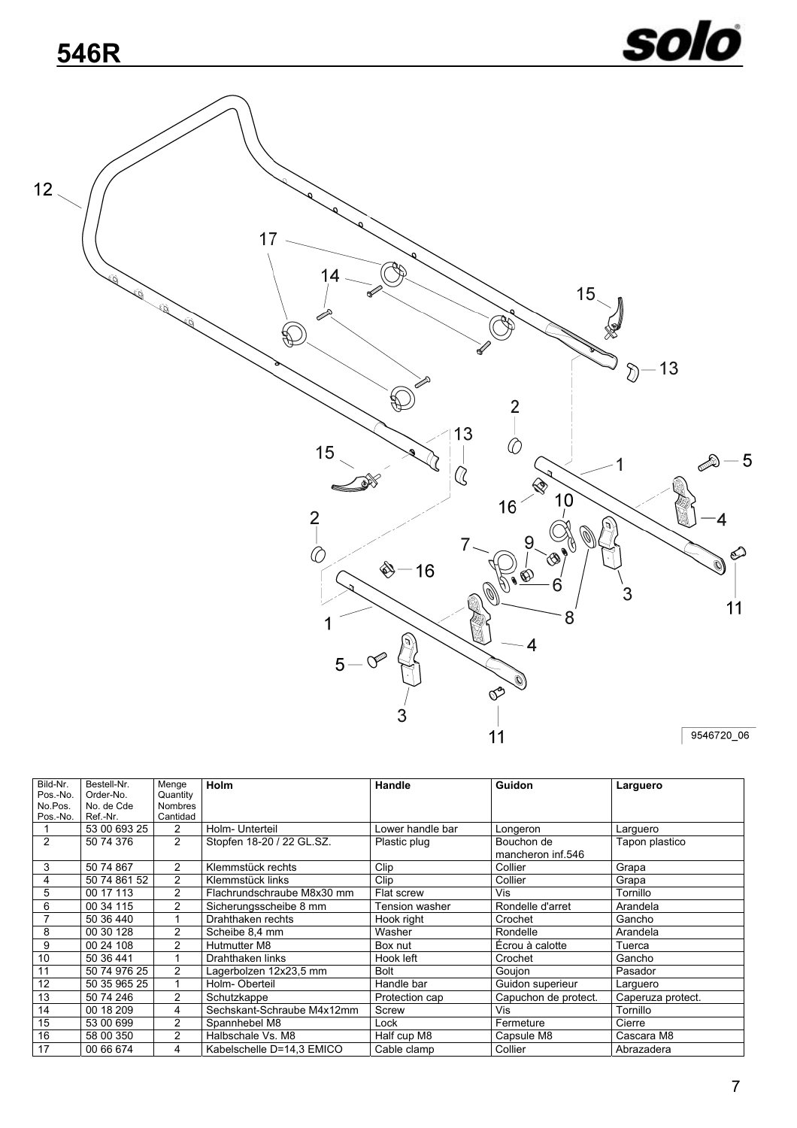<span id="page-6-0"></span>![](_page_6_Figure_2.jpeg)

| Bild-Nr. | Bestell-Nr.  | Menge          | Holm                       | Handle           | <b>Guidon</b>        | Larguero          |
|----------|--------------|----------------|----------------------------|------------------|----------------------|-------------------|
| Pos.-No. | Order-No.    | Quantity       |                            |                  |                      |                   |
| No.Pos.  | No. de Cde   | <b>Nombres</b> |                            |                  |                      |                   |
| Pos.-No. | Ref.-Nr.     | Cantidad       |                            |                  |                      |                   |
|          | 53 00 693 25 | $\overline{2}$ | Holm- Unterteil            | Lower handle bar | Longeron             | Larguero          |
| 2        | 50 74 376    | 2              | Stopfen 18-20 / 22 GL.SZ.  | Plastic plug     | Bouchon de           | Tapon plastico    |
|          |              |                |                            |                  | mancheron inf.546    |                   |
| 3        | 50 74 867    | 2              | Klemmstück rechts          | Clip             | Collier              | Grapa             |
| 4        | 50 74 861 52 | 2              | Klemmstück links           | Clip             | Collier              | Grapa             |
| 5        | 00 17 113    | 2              | Flachrundschraube M8x30 mm | Flat screw       | Vis                  | Tornillo          |
| 6        | 00 34 115    | 2              | Sicherungsscheibe 8 mm     | Fension washer   | Rondelle d'arret     | Arandela          |
|          | 50 36 440    |                | Drahthaken rechts          | Hook right       | Crochet              | Gancho            |
| 8        | 00 30 128    | 2              | Scheibe 8.4 mm             | Washer           | Rondelle             | Arandela          |
| 9        | 00 24 108    | 2              | Hutmutter M8               | Box nut          | Écrou à calotte      | Tuerca            |
| 10       | 50 36 441    |                | Drahthaken links           | Hook left        | Crochet              | Gancho            |
| 11       | 50 74 976 25 | $\overline{2}$ | Lagerbolzen 12x23,5 mm     | <b>Bolt</b>      | Gouion               | Pasador           |
| 12       | 50 35 965 25 |                | Holm-Oberteil              | Handle bar       | Guidon superieur     | Larguero          |
| 13       | 50 74 246    | 2              | Schutzkappe                | Protection cap   | Capuchon de protect. | Caperuza protect. |
| 14       | 00 18 209    | 4              | Sechskant-Schraube M4x12mm | Screw            | Vis                  | Tornillo          |
| 15       | 53 00 699    | $\overline{2}$ | Spannhebel M8              | Lock             | Fermeture            | Cierre            |
| 16       | 58 00 350    | $\overline{2}$ | Halbschale Vs. M8          | Half cup M8      | Capsule M8           | Cascara M8        |
| 17       | 00 66 674    | 4              | Kabelschelle D=14.3 EMICO  | Cable clamp      | Collier              | Abrazadera        |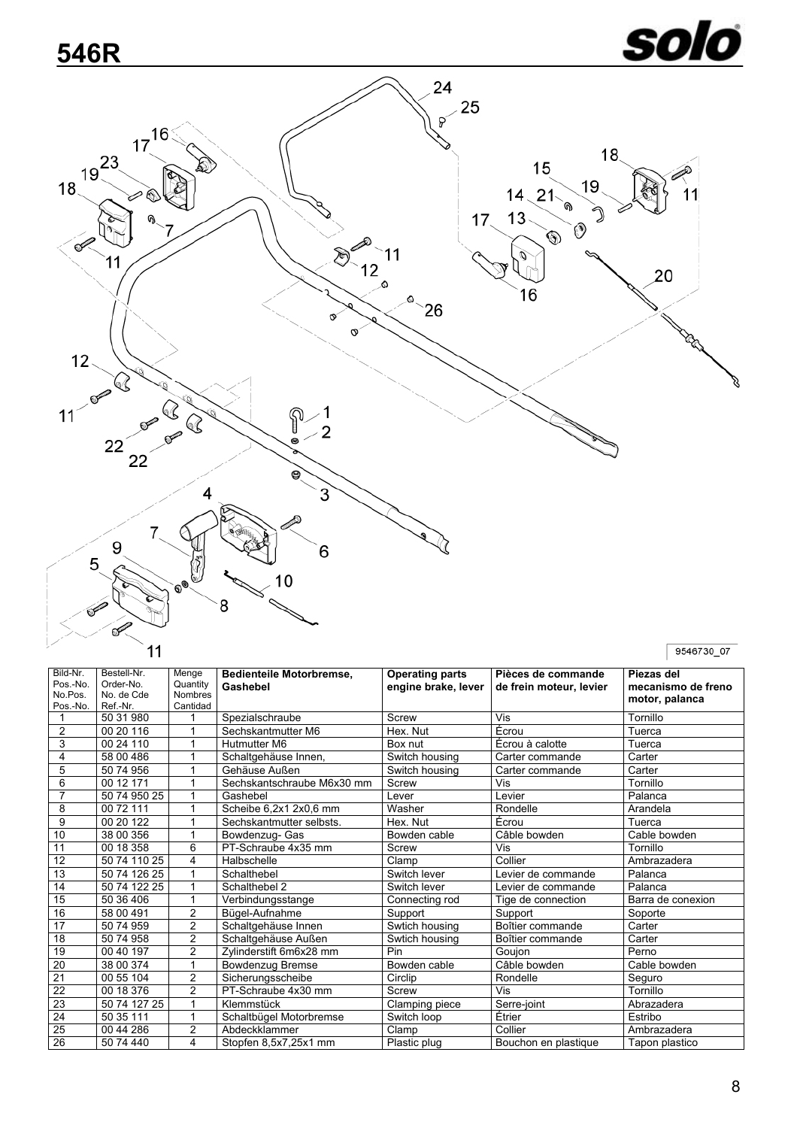# solo

<span id="page-7-0"></span>![](_page_7_Figure_2.jpeg)

| Bild-Nr.        | Bestell-Nr.  | Menge          | Bedienteile Motorbremse,   | <b>Operating parts</b> | Pièces de commande      | Piezas del         |  |
|-----------------|--------------|----------------|----------------------------|------------------------|-------------------------|--------------------|--|
| Pos.-No.        | Order-No.    | Quantity       | Gashebel                   | engine brake, lever    | de frein moteur, levier | mecanismo de freno |  |
| No.Pos.         | No. de Cde   | <b>Nombres</b> |                            |                        |                         | motor, palanca     |  |
| Pos.-No.        | Ref.-Nr.     | Cantidad       |                            |                        |                         |                    |  |
|                 | 50 31 980    |                | Spezialschraube            | Screw                  | Vis                     | Tornillo           |  |
| $\overline{2}$  | 00 20 116    |                | Sechskantmutter M6         | Hex. Nut               | Ecrou                   | Tuerca             |  |
| 3               | 00 24 110    |                | Hutmutter M6               | Box nut                | Écrou à calotte         | Tuerca             |  |
| 4               | 58 00 486    |                | Schaltgehäuse Innen,       | Switch housing         | Carter commande         | Carter             |  |
| 5               | 50 74 956    |                | Gehäuse Außen              | Switch housing         | Carter commande         | Carter             |  |
| 6               | 00 12 171    |                | Sechskantschraube M6x30 mm | Screw                  | Vis                     | Tornillo           |  |
| $\overline{7}$  | 50 74 950 25 |                | Gashebel                   | Lever                  | Levier                  | Palanca            |  |
| 8               | 00 72 111    |                | Scheibe 6,2x1 2x0,6 mm     | Washer                 | Rondelle                | Arandela           |  |
| 9               | 00 20 122    | 1              | Sechskantmutter selbsts.   | Hex. Nut               | Écrou                   | Tuerca             |  |
| 10              | 38 00 356    |                | Bowdenzug- Gas             | Bowden cable           | Câble bowden            | Cable bowden       |  |
| 11              | 00 18 358    | 6              | PT-Schraube 4x35 mm        | Screw                  | Vis                     | Tornillo           |  |
| 12              | 50 74 110 25 | 4              | Halbschelle                | Clamp                  | Collier                 | Ambrazadera        |  |
| 13              | 50 74 126 25 |                | Schalthebel                | Switch lever           | Levier de commande      | Palanca            |  |
| 14              | 50 74 122 25 |                | Schalthebel 2              | Switch lever           | Levier de commande      | Palanca            |  |
| 15              | 50 36 406    | 1              | Verbindungsstange          | Connecting rod         | Tige de connection      | Barra de conexion  |  |
| 16              | 58 00 491    | $\overline{c}$ | Bügel-Aufnahme             | Support                | Support                 | Soporte            |  |
| $\overline{17}$ | 50 74 959    | $\overline{2}$ | Schaltgehäuse Innen        | Swtich housing         | Boîtier commande        | Carter             |  |
| 18              | 50 74 958    | $\overline{2}$ | Schaltgehäuse Außen        | Swtich housing         | Boîtier commande        | Carter             |  |
| 19              | 00 40 197    | $\overline{2}$ | Zylinderstift 6m6x28 mm    | Pin                    | Goujon                  | Perno              |  |
| 20              | 38 00 374    |                | <b>Bowdenzug Bremse</b>    | Bowden cable           | Câble bowden            | Cable bowden       |  |
| $\overline{21}$ | 00 55 104    | $\overline{2}$ | Sicherungsscheibe          | Circlip                | Rondelle                | Seguro             |  |
| 22              | 00 18 376    | 2              | PT-Schraube 4x30 mm        | Screw                  | Vis                     | Tornillo           |  |
| $\overline{23}$ | 50 74 127 25 | 1              | Klemmstück                 | Clamping piece         | Serre-joint             | Abrazadera         |  |
| $\overline{24}$ | 50 35 111    |                | Schaltbügel Motorbremse    | Switch loop            | Étrier                  | Estribo            |  |
| 25              | 00 44 286    | $\overline{2}$ | Abdeckklammer              | Clamp                  | Collier                 | Ambrazadera        |  |
| $\overline{26}$ | 50 74 440    | 4              | Stopfen 8,5x7,25x1 mm      | Plastic plug           | Bouchon en plastique    | Tapon plastico     |  |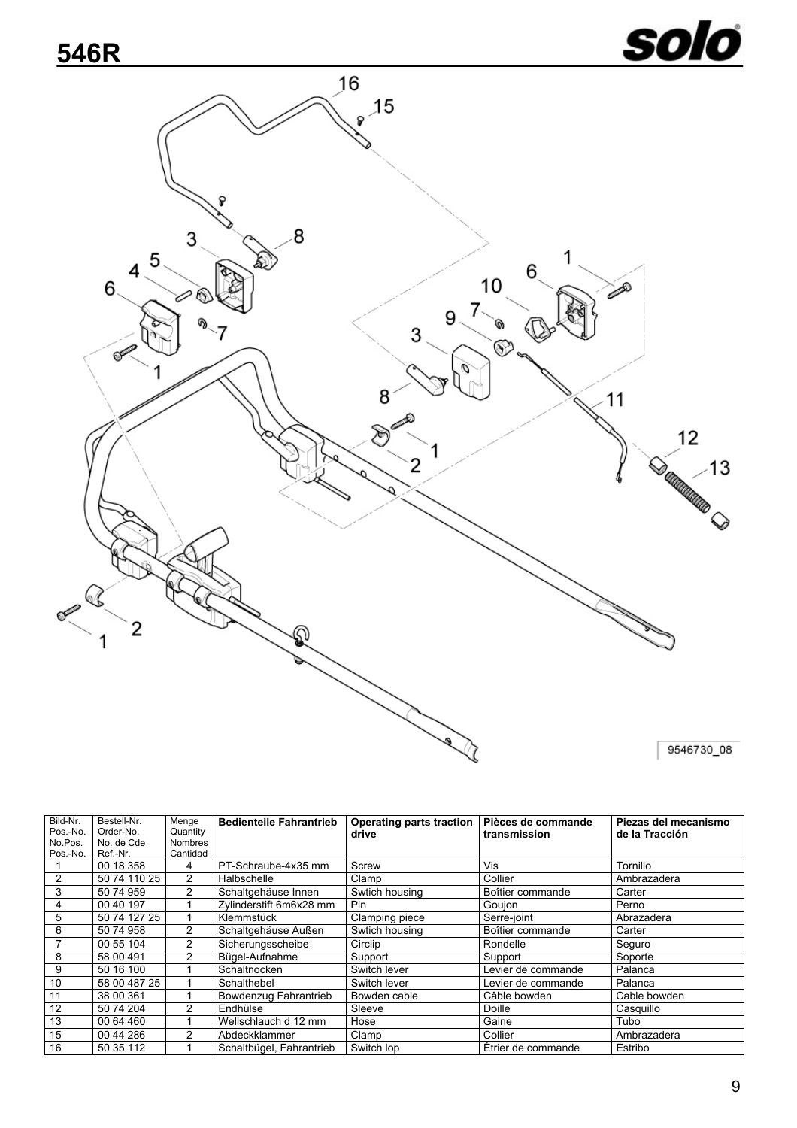## <span id="page-8-0"></span>**546R**

![](_page_8_Picture_1.jpeg)

![](_page_8_Figure_2.jpeg)

| Bild-Nr.<br>Pos.-No.<br>No.Pos. | Bestell-Nr.<br>Order-No.<br>No. de Cde | Menge<br>Quantity<br><b>Nombres</b> | <b>Bedienteile Fahrantrieb</b> | <b>Operating parts traction</b><br>drive | Pièces de commande<br>transmission | Piezas del mecanismo<br>de la Tracción |  |
|---------------------------------|----------------------------------------|-------------------------------------|--------------------------------|------------------------------------------|------------------------------------|----------------------------------------|--|
| Pos.-No.                        | Ref.-Nr.                               | Cantidad                            |                                |                                          |                                    |                                        |  |
|                                 | 00 18 358                              | 4                                   | PT-Schraube-4x35 mm            | Screw                                    | Vis                                | Tornillo                               |  |
| 2                               | 50 74 110 25                           | $\overline{2}$                      | Halbschelle                    | Clamp                                    | Collier                            | Ambrazadera                            |  |
| 3                               | 50 74 959                              | 2                                   | Schaltgehäuse Innen            | Swtich housing                           | Boîtier commande                   | Carter                                 |  |
| 4                               | 00 40 197                              |                                     | Zylinderstift 6m6x28 mm        | Pin.                                     | Goujon                             | Perno                                  |  |
| 5                               | 50 74 127 25                           |                                     | Klemmstück                     | Clamping piece                           | Serre-joint                        | Abrazadera                             |  |
| 6                               | 50 74 958                              | 2                                   | Schaltgehäuse Außen            | Swtich housing                           | Boîtier commande                   | Carter                                 |  |
|                                 | 00 55 104                              | 2                                   | Sicherungsscheibe              | Circlip                                  | Rondelle                           | Seguro                                 |  |
| 8                               | 58 00 491                              | 2                                   | Bügel-Aufnahme                 | Support                                  | Support                            | Soporte                                |  |
| 9                               | 50 16 100                              |                                     | Schaltnocken                   | Switch lever                             | Levier de commande                 | Palanca                                |  |
| 10                              | 58 00 487 25                           |                                     | Schalthebel                    | Switch lever                             | Levier de commande                 | Palanca                                |  |
| 11                              | 38 00 361                              |                                     | Bowdenzug Fahrantrieb          | Bowden cable                             | Câble bowden                       | Cable bowden                           |  |
| 12                              | 50 74 204                              | 2                                   | Endhülse                       | Sleeve                                   | Doille                             | Casquillo                              |  |
| 13                              | 00 64 460                              |                                     | Wellschlauch d 12 mm           | Hose                                     | Gaine                              | Tubo                                   |  |
| 15                              | 00 44 286                              | 2                                   | Abdeckklammer                  | Clamp                                    | Collier                            | Ambrazadera                            |  |
| 16                              | 50 35 112                              |                                     | Schaltbügel, Fahrantrieb       | Switch lop                               | Étrier de commande                 | Estribo                                |  |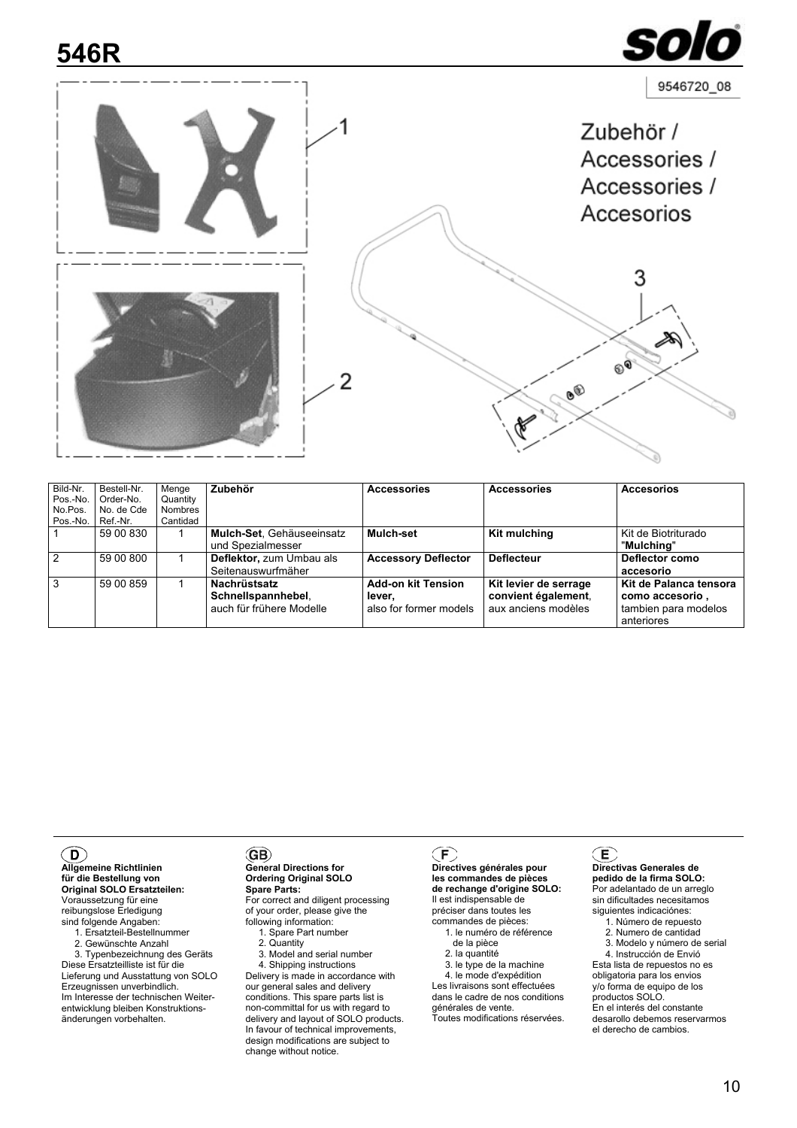### <span id="page-9-0"></span>**546R**

![](_page_9_Picture_1.jpeg)

<span id="page-9-1"></span>

| Bild-Nr.       | Bestell-Nr. | Menge          | Zubehör                   | <b>Accessories</b>         | <b>Accessories</b>    | <b>Accesorios</b>      |
|----------------|-------------|----------------|---------------------------|----------------------------|-----------------------|------------------------|
| Pos.-No.       | Order-No.   | Quantity       |                           |                            |                       |                        |
| No.Pos.        | No. de Cde  | <b>Nombres</b> |                           |                            |                       |                        |
| Pos.-No.       | Ref.-Nr.    | Cantidad       |                           |                            |                       |                        |
|                | 59 00 830   |                | Mulch-Set. Gehäuseeinsatz | Mulch-set                  | Kit mulching          | Kit de Biotriturado    |
|                |             |                | und Spezialmesser         |                            |                       | "Mulchina"             |
| $\overline{2}$ | 59 00 800   |                | Deflektor, zum Umbau als  | <b>Accessory Deflector</b> | <b>Deflecteur</b>     | Deflector como         |
|                |             |                | Seitenauswurfmäher        |                            |                       | accesorio              |
| $\mathbf{3}$   | 59 00 859   |                | Nachrüstsatz              | <b>Add-on kit Tension</b>  | Kit levier de serrage | Kit de Palanca tensora |
|                |             |                | Schnellspannhebel,        | lever.                     | convient également,   | como accesorio,        |
|                |             |                | auch für frühere Modelle  | also for former models     | aux anciens modèles   | tambien para modelos   |
|                |             |                |                           |                            |                       | anteriores             |

### $\mathbf{D}$

**Allgemeine Richtlinien für die Bestellung von Original SOLO Ersatzteilen:** Voraussetzung für eine reibungslose Erledigung sind folgende Angaben:

1. Ersatzteil-Bestellnummer

2. Gewünschte Anzahl

 3. Typenbezeichnung des Geräts Diese Ersatzteilliste ist für die Lieferung und Ausstattung von SOLO Erzeugnissen unverbindlich. Im Interesse der technischen Weiterentwicklung bleiben Konstruktionsänderungen vorbehalten.

### $\left($ GB $\right)$

#### **General Directions for Ordering Original SOLO Spare Parts:** For correct and diligent processing

of your order, please give the following information: 1. Spare Part number

2. Quantity

3. Model and serial number

 4. Shipping instructions Delivery is made in accordance with our general sales and delivery conditions. This spare parts list is non-committal for us with regard to delivery and layout of SOLO products. In favour of technical improvements, design modifications are subject to change without notice.

#### **Directives générales pour les commandes de pièces de rechange d'origine SOLO:** Il est indispensable de préciser dans toutes les

commandes de pièces: 1. le numéro de référence

de la pièce

- 2. la quantité
- 3. le type de la machine 4. le mode d'expédition

Les livraisons sont effectuées dans le cadre de nos conditions générales de vente. Toutes modifications réservées.

#### Œ

**Directivas Generales de pedido de la firma SOLO:** Por adelantado de un arreglo sin dificultades necesitamos siguientes indicaciónes:

SΩ

- 1. Número de repuesto
- 2. Numero de cantidad
- 3. Modelo y número de serial 4. Instrucción de Envió

Esta lista de repuestos no es obligatoria para los envios y/o forma de equipo de los productos SOLO. En el interés del constante desarollo debemos reservarmos el derecho de cambios.